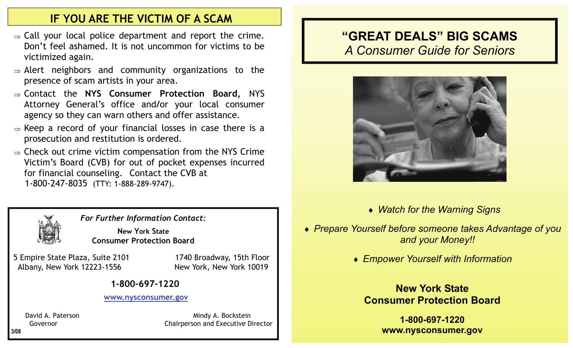## **IF YOU ARE THE VICTIM OF A SCAM**

- $\Rightarrow$  Call your local police department and report the crime. Don't feel ashamed. It is not uncommon for victims to be victimized again.
- $\Rightarrow$  Alert neighbors and community organizations to the presence of scam artists in your area.
- ⇒ Contact the **NYS Consumer Protection Board,** NYS Attorney General's office and **/**or your local consumer agency so they can warn others and offer assistance.
- $\Rightarrow$  Keep a record of your financial losses in case there is a prosecution and restitution is ordered.
- $\Rightarrow$  Check out crime victim compensation from the NYS Crime Victim's Board (CVB) for out of pocket expenses incurred for financial counseling. Contact the CVB at 1-800-247-8035 (TTY: 1-888-289-9747).



*For Further Information Contact:* 

**New York State Consumer Protection Board** 

 5 Empire State Plaza, Suite 2101 1740 Broadway, 15th Floor Albany, New York 12223-1556 New York, New York 10019

#### **1-800-697-1220**

#### **www.nysconsumer.gov**

David A. Paterson Mindy A. Bockstein Governor **Chairperson and Executive Director** 

## **"GREAT DEALS" BIG SCAMS**  *A Consumer Guide for Seniors*



- ♦ *Watch for the Warning Signs*
- ♦ *Prepare Yourself before someone takes Advantage of you and your Money!!* 
	- ♦ *Empower Yourself with Information*

## **New York State Consumer Protection Board**

**1-800-697-1220 www.nysconsumer.gov**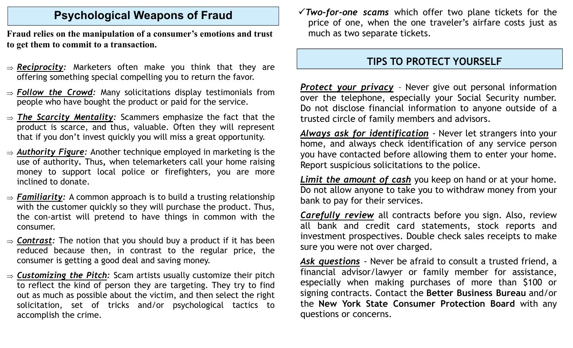## **Psychological Weapons of Fraud**

**Fraud relies on the manipulation of a consumer's emotions and trust to get them to commit to a transaction.** 

- <sup>⇒</sup>*Reciprocity:* Marketers often make you think that they are offering something special compelling you to return the favor.
- <sup>⇒</sup>*Follow the Crowd:* Many solicitations display testimonials from people who have bought the product or paid for the service.
- <sup>⇒</sup>*The Scarcity Mentality:* Scammers emphasize the fact that the product is scarce, and thus, valuable. Often they will represent that if you don't invest quickly you will miss a great opportunity.
- <sup>⇒</sup>*Authority Figure:* Another technique employed in marketing is the use of authority**.** Thus**,** when telemarketers call your home raising money to support local police or firefighters, you are more inclined to donate.
- <sup>⇒</sup>*Familiarity:* A common approach is to build a trusting relationship with the customer quickly so they will purchase the product. Thus, the con-artist will pretend to have things in common with the consumer.
- <sup>⇒</sup>*Contrast:* The notion that you should buy a product if it has been reduced because then, in contrast to the regular price, the consumer is getting a good deal and saving money.
- <sup>⇒</sup>*Customizing the Pitch:* Scam artists usually customize their pitch to reflect the kind of person they are targeting. They try to find out as much as possible about the victim, and then select the right solicitation, set of tricks and/or psychological tactics to accomplish the crime.

<sup>3</sup>*Two-for-one scams* which offer two plane tickets for the price of one, when the one traveler's airfare costs just as much as two separate tickets.

### **TIPS TO PROTECT YOURSELF**

*Protect your privacy* – Never give out personal information over the telephone, especially your Social Security number. Do not disclose financial information to anyone outside of a trusted circle of family members and advisors.

*Always ask for identification* - Never let strangers into your home, and always check identification of any service person you have contacted before allowing them to enter your home. Report suspicious solicitations to the police.

*Limit the amount of cash* you keep on hand or at your home. Do not allow anyone to take you to withdraw money from your bank to pay for their services.

*Carefully review* all contracts before you sign. Also, review all bank and credit card statements, stock reports and investment prospectives. Double check sales receipts to make sure you were not over charged.

*Ask questions* - Never be afraid to consult a trusted friend, a financial advisor/lawyer or family member for assistance, especially when making purchases of more than \$100 or signing contracts. Contact the **Better Business Bureau** and/or the **New York State Consumer Protection Board** with any questions or concerns.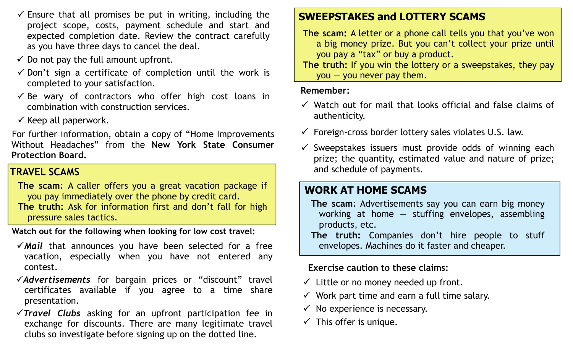- $\checkmark$  Ensure that all promises be put in writing, including the project scope, costs, payment schedule and start and expected completion date. Review the contract carefully as you have three days to cancel the deal.
- $\checkmark$  Do not pay the full amount upfront.
- $\checkmark$  Don't sign a certificate of completion until the work is completed to your satisfaction.
- $\checkmark$  Be wary of contractors who offer high cost loans in combination with construction services.
- $\checkmark$  Keep all paperwork.

For further information, obtain a copy of "Home Improvements Without Headaches" from the **New York State Consumer Protection Board.** 

## **TRAVEL SCAMS**

 **The scam:** A caller offers you a great vacation package if you pay immediately over the phone by credit card. **The truth:** Ask for information first and don't fall for high pressure sales tactics.

**Watch out for the following when looking for low cost travel:** 

- $\sqrt{$ Mail that announces you have been selected for a free vacation, especially when you have not entered any contest.
- <sup>3</sup>*Advertisements* for bargain prices or "discount" travel certificates available if you agree to a time share presentation.
- <sup>3</sup>*Travel Clubs* asking for an upfront participation fee in exchange for discounts. There are many legitimate travel clubs so investigate before signing up on the dotted line.

## **SWEEPSTAKES and LOTTERY SCAMS**

 **The scam:** A letter or a phone call tells you that you've won a big money prize. But you can't collect your prize until you pay a "tax" or buy a product.

 **The truth:** If you win the lottery or a sweepstakes, they pay  $\gamma$ ou  $-$  you never pay them.

#### **Remember:**

- $\checkmark$  Watch out for mail that looks official and false claims of authenticity.
- $\checkmark$  Foreign-cross border lottery sales violates U.S. law.
- $\checkmark$  Sweepstakes issuers must provide odds of winning each prize; the quantity, estimated value and nature of prize; and schedule of payments.

## **WORK AT HOME SCAMS**

- **The scam:** Advertisements say you can earn big money working at home  $-$  stuffing envelopes, assembling products, etc.
- **The truth:** Companies don't hire people to stuff envelopes. Machines do it faster and cheaper.

### **Exercise caution to these claims:**

- $\checkmark$  Little or no money needed up front.
- $\checkmark$  Work part time and earn a full time salary.
- $\checkmark$  No experience is necessary.
- $\checkmark$  This offer is unique.